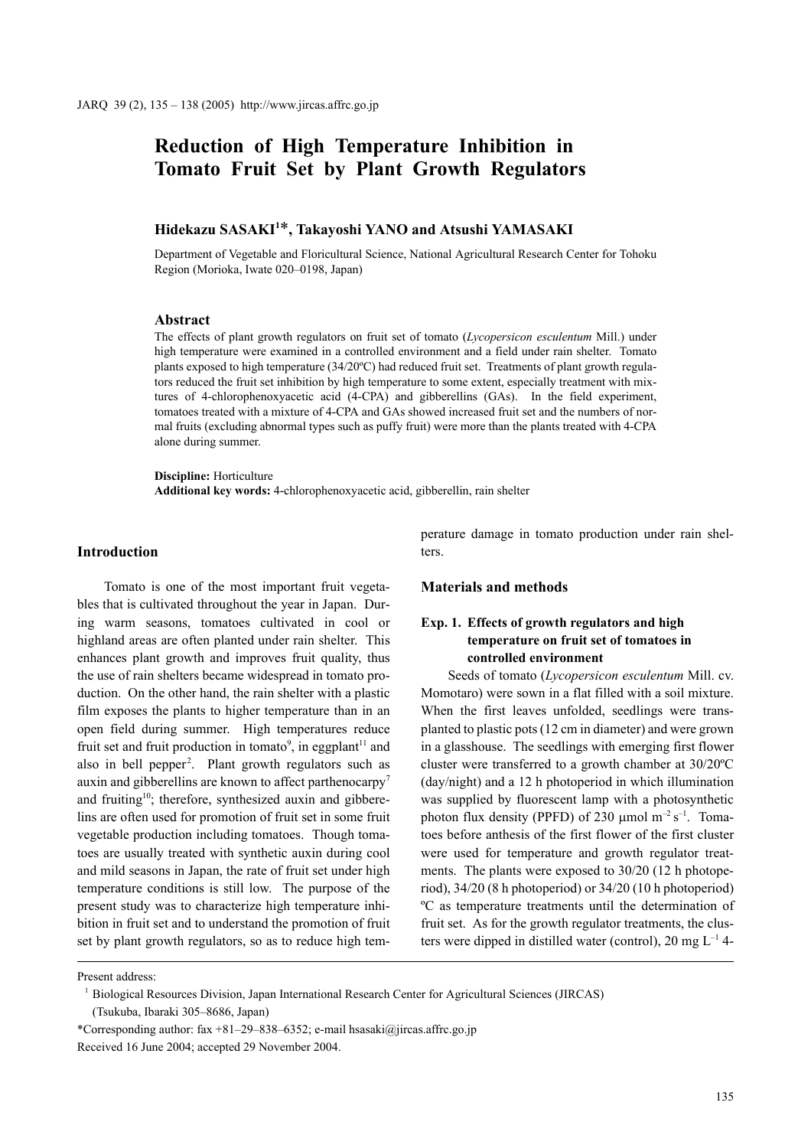# **Reduction of High Temperature Inhibition in Tomato Fruit Set by Plant Growth Regulators**

# **Hidekazu SASAKI1** \***, Takayoshi YANO and Atsushi YAMASAKI**

Department of Vegetable and Floricultural Science, National Agricultural Research Center for Tohoku Region (Morioka, Iwate 020–0198, Japan)

### **Abstract**

The effects of plant growth regulators on fruit set of tomato (*Lycopersicon esculentum* Mill.) under high temperature were examined in a controlled environment and a field under rain shelter. Tomato plants exposed to high temperature (34/20ºC) had reduced fruit set. Treatments of plant growth regulators reduced the fruit set inhibition by high temperature to some extent, especially treatment with mixtures of 4-chlorophenoxyacetic acid (4-CPA) and gibberellins (GAs). In the field experiment, tomatoes treated with a mixture of 4-CPA and GAs showed increased fruit set and the numbers of normal fruits (excluding abnormal types such as puffy fruit) were more than the plants treated with 4-CPA alone during summer.

**Discipline:** Horticulture **Additional key words:** 4-chlorophenoxyacetic acid, gibberellin, rain shelter

#### **Introduction**

Tomato is one of the most important fruit vegetables that is cultivated throughout the year in Japan. During warm seasons, tomatoes cultivated in cool or highland areas are often planted under rain shelter. This enhances plant growth and improves fruit quality, thus the use of rain shelters became widespread in tomato production. On the other hand, the rain shelter with a plastic film exposes the plants to higher temperature than in an open field during summer. High temperatures reduce fruit set and fruit production in tomato<sup>9</sup>, in eggplant<sup>11</sup> and also in bell pepper<sup>2</sup>. Plant growth regulators such as auxin and gibberellins are known to affect parthenocarpy<sup>7</sup> and fruiting<sup>10</sup>; therefore, synthesized auxin and gibberelins are often used for promotion of fruit set in some fruit vegetable production including tomatoes. Though tomatoes are usually treated with synthetic auxin during cool and mild seasons in Japan, the rate of fruit set under high temperature conditions is still low. The purpose of the present study was to characterize high temperature inhibition in fruit set and to understand the promotion of fruit set by plant growth regulators, so as to reduce high temperature damage in tomato production under rain shelters.

#### **Materials and methods**

# **Exp. 1. Effects of growth regulators and high temperature on fruit set of tomatoes in controlled environment**

Seeds of tomato (*Lycopersicon esculentum* Mill. cv. Momotaro) were sown in a flat filled with a soil mixture. When the first leaves unfolded, seedlings were transplanted to plastic pots (12 cm in diameter) and were grown in a glasshouse. The seedlings with emerging first flower cluster were transferred to a growth chamber at 30/20ºC (day/night) and a 12 h photoperiod in which illumination was supplied by fluorescent lamp with a photosynthetic photon flux density (PPFD) of 230  $\mu$ mol m<sup>-2</sup> s<sup>-1</sup>. Tomatoes before anthesis of the first flower of the first cluster were used for temperature and growth regulator treatments. The plants were exposed to 30/20 (12 h photoperiod), 34/20 (8 h photoperiod) or 34/20 (10 h photoperiod) ºC as temperature treatments until the determination of fruit set. As for the growth regulator treatments, the clusters were dipped in distilled water (control), 20 mg  $L^{-1}$  4-

Present address:

<sup>1</sup> Biological Resources Division, Japan International Research Center for Agricultural Sciences (JIRCAS)

<sup>(</sup>Tsukuba, Ibaraki 305–8686, Japan)

<sup>\*</sup>Corresponding author: fax +81–29–838–6352; e-mail hsasaki@jircas.affrc.go.jp Received 16 June 2004; accepted 29 November 2004.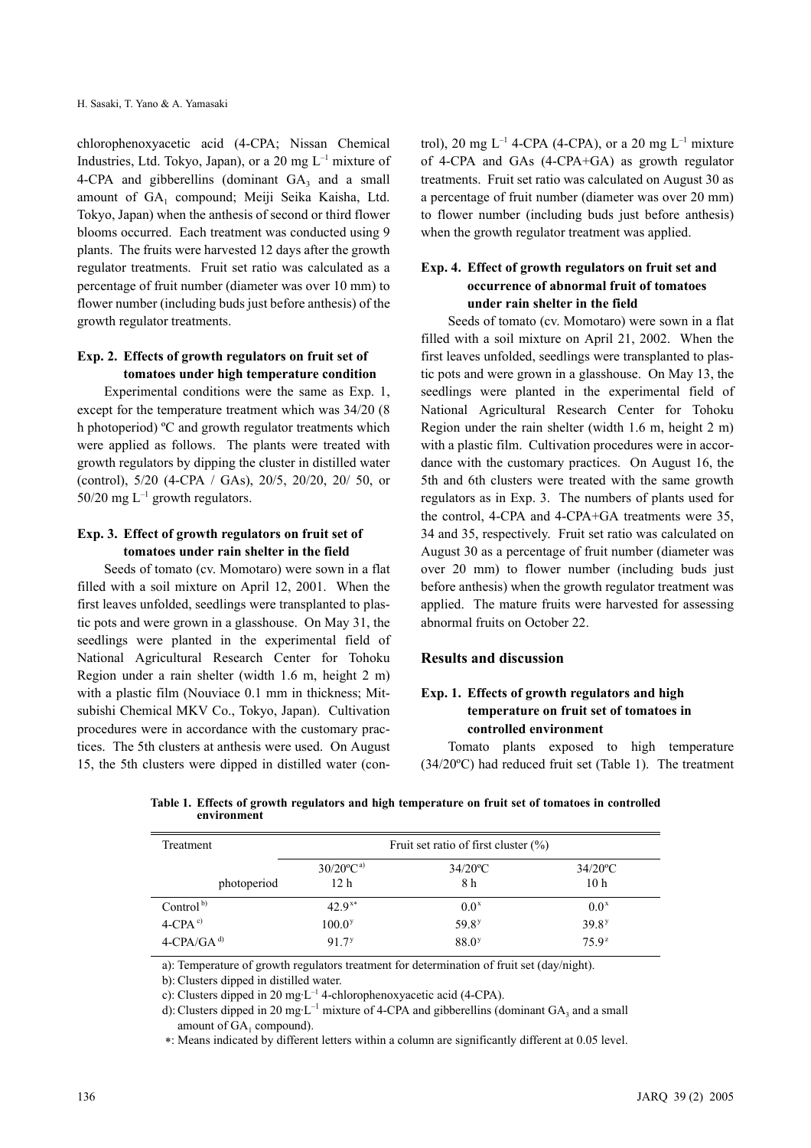chlorophenoxyacetic acid (4-CPA; Nissan Chemical Industries, Ltd. Tokyo, Japan), or a 20 mg  $L^{-1}$  mixture of 4-CPA and gibberellins (dominant  $GA_3$  and a small amount of GA<sub>1</sub> compound; Meiji Seika Kaisha, Ltd. Tokyo, Japan) when the anthesis of second or third flower blooms occurred. Each treatment was conducted using 9 plants. The fruits were harvested 12 days after the growth regulator treatments. Fruit set ratio was calculated as a percentage of fruit number (diameter was over 10 mm) to flower number (including buds just before anthesis) of the growth regulator treatments.

## **Exp. 2. Effects of growth regulators on fruit set of tomatoes under high temperature condition**

Experimental conditions were the same as Exp. 1, except for the temperature treatment which was 34/20 (8 h photoperiod) ºC and growth regulator treatments which were applied as follows. The plants were treated with growth regulators by dipping the cluster in distilled water (control), 5/20 (4-CPA / GAs), 20/5, 20/20, 20/ 50, or 50/20 mg  $L^{-1}$  growth regulators.

# **Exp. 3. Effect of growth regulators on fruit set of tomatoes under rain shelter in the field**

Seeds of tomato (cv. Momotaro) were sown in a flat filled with a soil mixture on April 12, 2001. When the first leaves unfolded, seedlings were transplanted to plastic pots and were grown in a glasshouse. On May 31, the seedlings were planted in the experimental field of National Agricultural Research Center for Tohoku Region under a rain shelter (width 1.6 m, height 2 m) with a plastic film (Nouviace 0.1 mm in thickness; Mitsubishi Chemical MKV Co., Tokyo, Japan). Cultivation procedures were in accordance with the customary practices. The 5th clusters at anthesis were used. On August 15, the 5th clusters were dipped in distilled water (control), 20 mg  $L^{-1}$  4-CPA (4-CPA), or a 20 mg  $L^{-1}$  mixture of 4-CPA and GAs (4-CPA+GA) as growth regulator treatments. Fruit set ratio was calculated on August 30 as a percentage of fruit number (diameter was over 20 mm) to flower number (including buds just before anthesis) when the growth regulator treatment was applied.

# **Exp. 4. Effect of growth regulators on fruit set and occurrence of abnormal fruit of tomatoes under rain shelter in the field**

Seeds of tomato (cv. Momotaro) were sown in a flat filled with a soil mixture on April 21, 2002. When the first leaves unfolded, seedlings were transplanted to plastic pots and were grown in a glasshouse. On May 13, the seedlings were planted in the experimental field of National Agricultural Research Center for Tohoku Region under the rain shelter (width 1.6 m, height 2 m) with a plastic film. Cultivation procedures were in accordance with the customary practices. On August 16, the 5th and 6th clusters were treated with the same growth regulators as in Exp. 3. The numbers of plants used for the control, 4-CPA and 4-CPA+GA treatments were 35, 34 and 35, respectively. Fruit set ratio was calculated on August 30 as a percentage of fruit number (diameter was over 20 mm) to flower number (including buds just before anthesis) when the growth regulator treatment was applied. The mature fruits were harvested for assessing abnormal fruits on October 22.

### **Results and discussion**

# **Exp. 1. Effects of growth regulators and high temperature on fruit set of tomatoes in controlled environment**

Tomato plants exposed to high temperature (34/20ºC) had reduced fruit set (Table 1). The treatment

**Table 1. Effects of growth regulators and high temperature on fruit set of tomatoes in controlled environment**

| Treatment                 | Fruit set ratio of first cluster $(\% )$ |                        |                        |
|---------------------------|------------------------------------------|------------------------|------------------------|
|                           | $30/20$ <sup>o</sup> C <sup>a)</sup>     | $34/20$ <sup>o</sup> C | $34/20$ <sup>o</sup> C |
| photoperiod               | 12 h                                     | 8 h                    | 10 <sub>h</sub>        |
| Control $b$               | $42.9^{x*}$                              | $0.0^{\mathrm{x}}$     | $0.0^x$                |
| $4$ -CPA $^{\rm c)}$      | $100.0$ <sup>y</sup>                     | 59.8 <sup>y</sup>      | $39.8^{y}$             |
| $4$ -CPA/GA <sup>d)</sup> | 917 <sup>y</sup>                         | 88.0 <sup>y</sup>      | $75.9^z$               |

a): Temperature of growth regulators treatment for determination of fruit set (day/night).

b): Clusters dipped in distilled water.

c): Clusters dipped in 20 mg·L–1 4-chlorophenoxyacetic acid (4-CPA).

d): Clusters dipped in 20 mg·L<sup>-1</sup> mixture of 4-CPA and gibberellins (dominant  $GA_3$  and a small amount of  $GA_1$  compound).

∗: Means indicated by different letters within a column are significantly different at 0.05 level.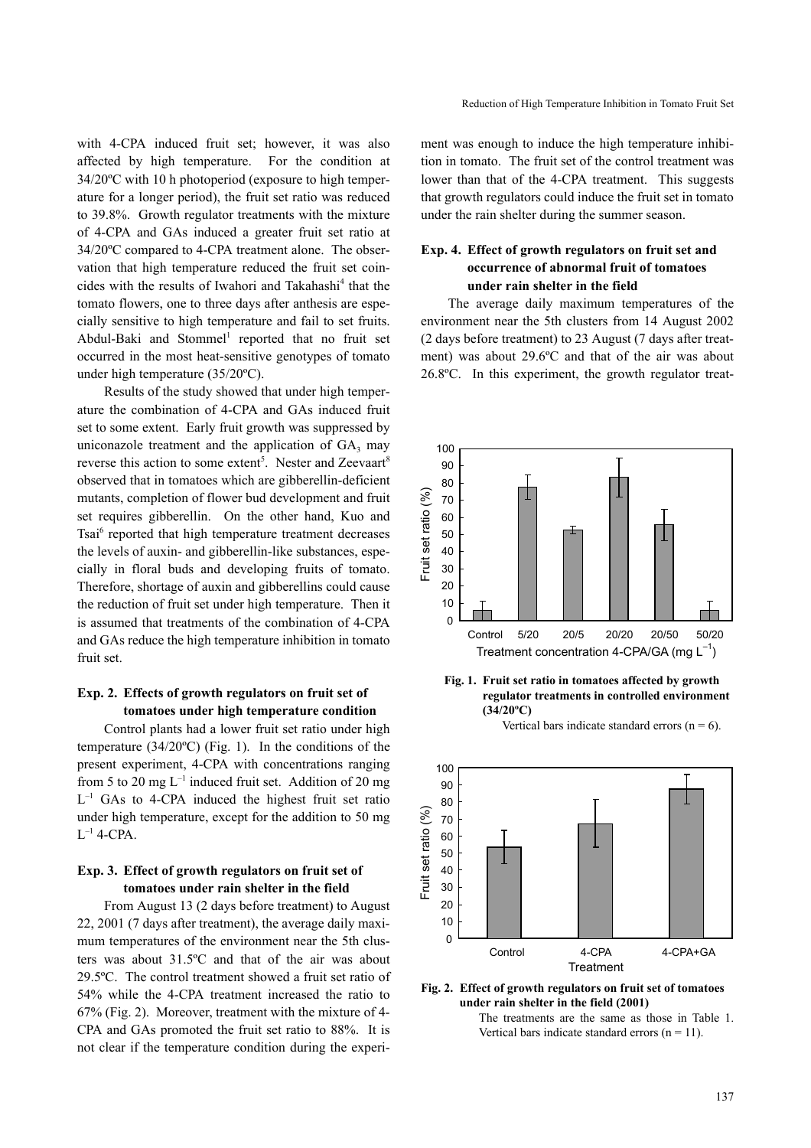with 4-CPA induced fruit set; however, it was also affected by high temperature. For the condition at 34/20ºC with 10 h photoperiod (exposure to high temperature for a longer period), the fruit set ratio was reduced to 39.8%. Growth regulator treatments with the mixture of 4-CPA and GAs induced a greater fruit set ratio at 34/20ºC compared to 4-CPA treatment alone. The observation that high temperature reduced the fruit set coincides with the results of Iwahori and Takahashi<sup>4</sup> that the tomato flowers, one to three days after anthesis are especially sensitive to high temperature and fail to set fruits. Abdul-Baki and Stommel<sup>1</sup> reported that no fruit set occurred in the most heat-sensitive genotypes of tomato under high temperature (35/20ºC).

Results of the study showed that under high temperature the combination of 4-CPA and GAs induced fruit set to some extent. Early fruit growth was suppressed by uniconazole treatment and the application of  $GA_3$  may reverse this action to some extent<sup>5</sup>. Nester and Zeevaart<sup>8</sup> observed that in tomatoes which are gibberellin-deficient mutants, completion of flower bud development and fruit set requires gibberellin. On the other hand, Kuo and Tsai<sup>6</sup> reported that high temperature treatment decreases the levels of auxin- and gibberellin-like substances, especially in floral buds and developing fruits of tomato. Therefore, shortage of auxin and gibberellins could cause the reduction of fruit set under high temperature. Then it is assumed that treatments of the combination of 4-CPA and GAs reduce the high temperature inhibition in tomato fruit set.

## **Exp. 2. Effects of growth regulators on fruit set of tomatoes under high temperature condition**

Control plants had a lower fruit set ratio under high temperature (34/20ºC) (Fig. 1). In the conditions of the present experiment, 4-CPA with concentrations ranging from 5 to 20 mg  $L^{-1}$  induced fruit set. Addition of 20 mg  $L^{-1}$  GAs to 4-CPA induced the highest fruit set ratio under high temperature, except for the addition to 50 mg  $L^{-1}$  4-CPA.

## **Exp. 3. Effect of growth regulators on fruit set of tomatoes under rain shelter in the field**

From August 13 (2 days before treatment) to August 22, 2001 (7 days after treatment), the average daily maximum temperatures of the environment near the 5th clusters was about 31.5ºC and that of the air was about 29.5ºC. The control treatment showed a fruit set ratio of 54% while the 4-CPA treatment increased the ratio to 67% (Fig. 2). Moreover, treatment with the mixture of 4- CPA and GAs promoted the fruit set ratio to 88%. It is not clear if the temperature condition during the experiment was enough to induce the high temperature inhibition in tomato. The fruit set of the control treatment was lower than that of the 4-CPA treatment. This suggests that growth regulators could induce the fruit set in tomato under the rain shelter during the summer season.

# **Exp. 4. Effect of growth regulators on fruit set and occurrence of abnormal fruit of tomatoes under rain shelter in the field**

The average daily maximum temperatures of the environment near the 5th clusters from 14 August 2002 (2 days before treatment) to 23 August (7 days after treatment) was about 29.6ºC and that of the air was about 26.8ºC. In this experiment, the growth regulator treat-



**Fig. 1. Fruit set ratio in tomatoes affected by growth regulator treatments in controlled environment (34/20ºC)**